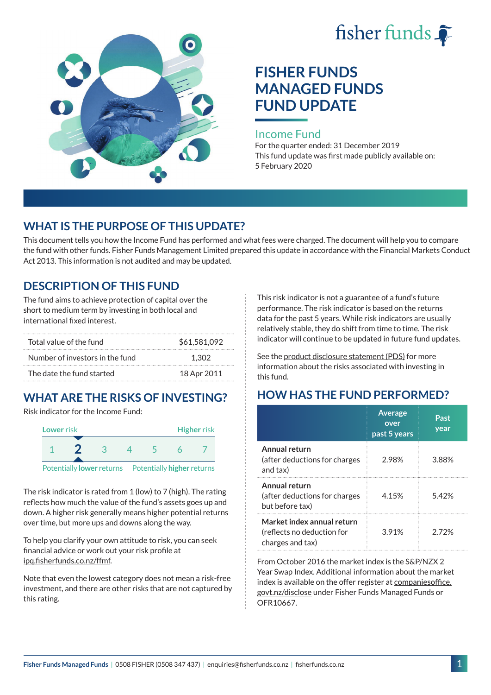



# **FISHER FUNDS MANAGED FUNDS FUND UPDATE**

#### Income Fund

For the quarter ended: 31 December 2019 This fund update was first made publicly available on: 5 February 2020

### **WHAT IS THE PURPOSE OF THIS UPDATE?**

This document tells you how the Income Fund has performed and what fees were charged. The document will help you to compare the fund with other funds. Fisher Funds Management Limited prepared this update in accordance with the Financial Markets Conduct Act 2013. This information is not audited and may be updated.

## **DESCRIPTION OF THIS FUND**

The fund aims to achieve protection of capital over the short to medium term by investing in both local and international fixed interest.

| Total value of the fund         | \$61,581,092 |
|---------------------------------|--------------|
| Number of investors in the fund | 1.302        |
| The date the fund started       | 18 Apr 2011  |

## **WHAT ARE THE RISKS OF INVESTING?**

Risk indicator for the Income Fund:



The risk indicator is rated from 1 (low) to 7 (high). The rating reflects how much the value of the fund's assets goes up and down. A higher risk generally means higher potential returns over time, but more ups and downs along the way.

To help you clarify your own attitude to risk, you can seek financial advice or work out your risk profile at [ipq.fisherfunds.co.nz/ffmf.](https://ipq.fisherfunds.co.nz/ffmf)

Note that even the lowest category does not mean a risk-free investment, and there are other risks that are not captured by this rating.

This risk indicator is not a guarantee of a fund's future performance. The risk indicator is based on the returns data for the past 5 years. While risk indicators are usually relatively stable, they do shift from time to time. The risk indicator will continue to be updated in future fund updates.

See the [product disclosure statement \(PDS\)](https://fisherfunds.co.nz/assets/PDS/Fisher-Funds-Managed-Funds-PDS.pdf) for more information about the risks associated with investing in this fund.

## **HOW HAS THE FUND PERFORMED?**

|                                                                              | <b>Average</b><br>over<br>past 5 years | Past<br>year |
|------------------------------------------------------------------------------|----------------------------------------|--------------|
| Annual return<br>(after deductions for charges<br>and tax)                   | 2.98%                                  | 3.88%        |
| Annual return<br>(after deductions for charges<br>but before tax)            | 4.15%                                  | 5.42%        |
| Market index annual return<br>(reflects no deduction for<br>charges and tax) | 3.91%                                  | 2 72%        |

From October 2016 the market index is the S&P/NZX 2 Year Swap Index. Additional information about the market index is available on the offer register at [companiesoffice.](http://companiesoffice.govt.nz/disclose) [govt.nz/disclose](http://companiesoffice.govt.nz/disclose) under Fisher Funds Managed Funds or OFR10667.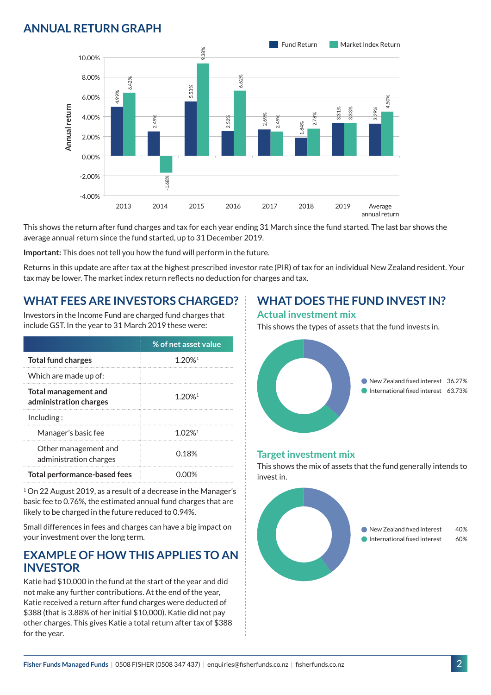## **ANNUAL RETURN GRAPH**



This shows the return after fund charges and tax for each year ending 31 March since the fund started. The last bar shows the average annual return since the fund started, up to 31 December 2019.

**Important:** This does not tell you how the fund will perform in the future.

Returns in this update are after tax at the highest prescribed investor rate (PIR) of tax for an individual New Zealand resident. Your tax may be lower. The market index return reflects no deduction for charges and tax.

### **WHAT FEES ARE INVESTORS CHARGED?**

Investors in the Income Fund are charged fund charges that include GST. In the year to 31 March 2019 these were:

|                                                       | % of net asset value |  |
|-------------------------------------------------------|----------------------|--|
| <b>Total fund charges</b>                             | 1.20% <sup>1</sup>   |  |
| Which are made up of:                                 |                      |  |
| <b>Total management and</b><br>administration charges | $1.20%$ <sup>1</sup> |  |
| Inding:                                               |                      |  |
| Manager's basic fee                                   | $1.02%$ <sup>1</sup> |  |
| Other management and<br>administration charges        | 0.18%                |  |
| <b>Total performance-based fees</b>                   |                      |  |

<sup>1</sup> On 22 August 2019, as a result of a decrease in the Manager's basic fee to 0.76%, the estimated annual fund charges that are likely to be charged in the future reduced to 0.94%.

Small differences in fees and charges can have a big impact on your investment over the long term.

### **EXAMPLE OF HOW THIS APPLIES TO AN INVESTOR**

Katie had \$10,000 in the fund at the start of the year and did not make any further contributions. At the end of the year, Katie received a return after fund charges were deducted of \$388 (that is 3.88% of her initial \$10,000). Katie did not pay other charges. This gives Katie a total return after tax of \$388 for the year.

### **WHAT DOES THE FUND INVEST IN?**

#### **Actual investment mix**

This shows the types of assets that the fund invests in.



#### **Target investment mix**

This shows the mix of assets that the fund generally intends to invest in.